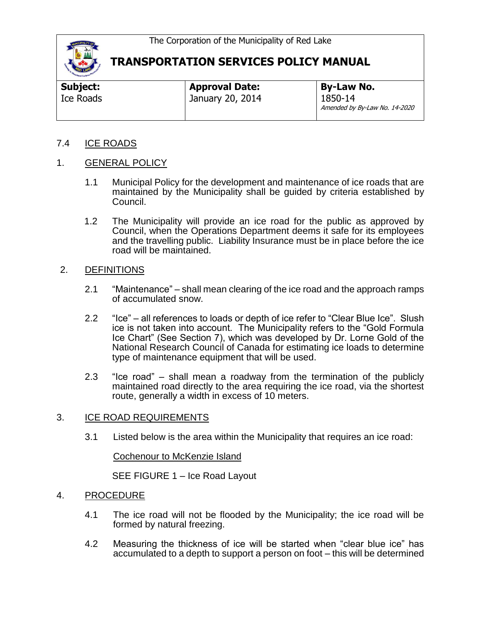

| Subject:  | <b>Approval Date:</b> | <b>By-Law No.</b>                        |
|-----------|-----------------------|------------------------------------------|
| Ice Roads | January 20, 2014      | 1850-14<br>Amended by By-Law No. 14-2020 |

### 7.4 ICE ROADS

### 1. GENERAL POLICY

- 1.1 Municipal Policy for the development and maintenance of ice roads that are maintained by the Municipality shall be guided by criteria established by Council.
- 1.2 The Municipality will provide an ice road for the public as approved by Council, when the Operations Department deems it safe for its employees and the travelling public. Liability Insurance must be in place before the ice road will be maintained.

#### 2. DEFINITIONS

- 2.1 "Maintenance" shall mean clearing of the ice road and the approach ramps of accumulated snow.
- 2.2 "Ice" all references to loads or depth of ice refer to "Clear Blue Ice". Slush ice is not taken into account. The Municipality refers to the "Gold Formula Ice Chart" (See Section 7), which was developed by Dr. Lorne Gold of the National Research Council of Canada for estimating ice loads to determine type of maintenance equipment that will be used.
- 2.3 "Ice road" shall mean a roadway from the termination of the publicly maintained road directly to the area requiring the ice road, via the shortest route, generally a width in excess of 10 meters.

#### 3. ICE ROAD REQUIREMENTS

3.1 Listed below is the area within the Municipality that requires an ice road:

Cochenour to McKenzie Island

SEE FIGURE 1 – Ice Road Layout

### 4. PROCEDURE

- 4.1 The ice road will not be flooded by the Municipality; the ice road will be formed by natural freezing.
- 4.2 Measuring the thickness of ice will be started when "clear blue ice" has accumulated to a depth to support a person on foot – this will be determined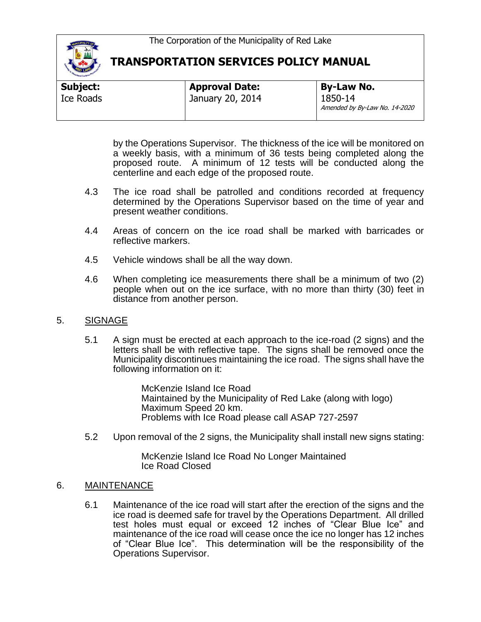

| Subject:  | <b>Approval Date:</b> | <b>By-Law No.</b>                        |
|-----------|-----------------------|------------------------------------------|
| Ice Roads | January 20, 2014      | 1850-14<br>Amended by By-Law No. 14-2020 |

by the Operations Supervisor. The thickness of the ice will be monitored on a weekly basis, with a minimum of 36 tests being completed along the proposed route. A minimum of 12 tests will be conducted along the centerline and each edge of the proposed route.

- 4.3 The ice road shall be patrolled and conditions recorded at frequency determined by the Operations Supervisor based on the time of year and present weather conditions.
- 4.4 Areas of concern on the ice road shall be marked with barricades or reflective markers.
- 4.5 Vehicle windows shall be all the way down.
- 4.6 When completing ice measurements there shall be a minimum of two (2) people when out on the ice surface, with no more than thirty (30) feet in distance from another person.

#### 5. SIGNAGE

5.1 A sign must be erected at each approach to the ice-road (2 signs) and the letters shall be with reflective tape. The signs shall be removed once the Municipality discontinues maintaining the ice road. The signs shall have the following information on it:

> McKenzie Island Ice Road Maintained by the Municipality of Red Lake (along with logo) Maximum Speed 20 km. Problems with Ice Road please call ASAP 727-2597

5.2 Upon removal of the 2 signs, the Municipality shall install new signs stating:

McKenzie Island Ice Road No Longer Maintained Ice Road Closed

#### 6. MAINTENANCE

6.1 Maintenance of the ice road will start after the erection of the signs and the ice road is deemed safe for travel by the Operations Department. All drilled test holes must equal or exceed 12 inches of "Clear Blue Ice" and maintenance of the ice road will cease once the ice no longer has 12 inches of "Clear Blue Ice". This determination will be the responsibility of the Operations Supervisor.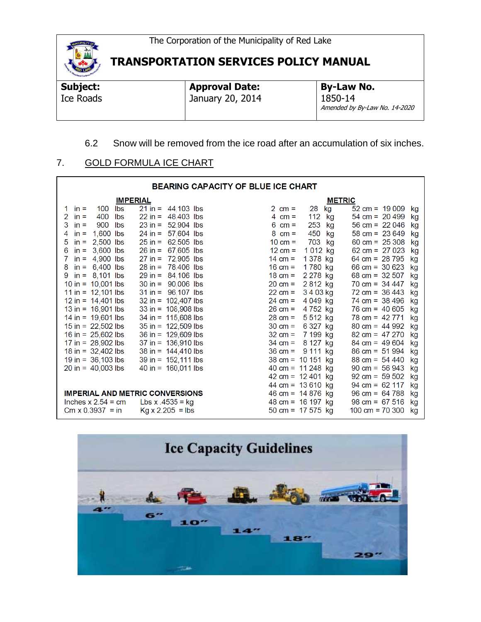

**Subject:**  Ice Roads

**Approval Date:** January 20, 2014 **By-Law No.** 1850-14 Amended by By-Law No. 14-2020

## 6.2 Snow will be removed from the ice road after an accumulation of six inches.

### 7. GOLD FORMULA ICE CHART

| <b>BEARING CAPACITY OF BLUE ICE CHART</b> |                                       |                                |                                 |  |  |  |
|-------------------------------------------|---------------------------------------|--------------------------------|---------------------------------|--|--|--|
| <b>IMPERIAL</b>                           |                                       |                                | <b>METRIC</b>                   |  |  |  |
| Ibs<br>100<br>1 in $=$                    | $21 \text{ in} = 44,103 \text{ lbs}$  | 28<br>2 cm =<br>kg             | $52 \text{ cm} = 19009$<br>kg   |  |  |  |
| 400<br>lbs<br>2<br>$in =$                 | $22$ in = 48,403 lbs                  | 112<br>kg<br>4 cm =            | $54 \text{ cm} = 20499$<br>kg   |  |  |  |
| 3<br>900<br>lbs<br>$in =$                 | 52,904 lbs<br>$23$ in =               | 253<br>$6 \text{ cm} =$<br>kg  | 56 cm = $22046$<br>kg           |  |  |  |
| $1,600$ lbs<br>4<br>$in =$                | $24$ in = 57,604 lbs                  | 450<br>$8 \text{ cm} =$<br>kg  | $58 \text{ cm} = 23649$<br>kg   |  |  |  |
| 2,500 lbs<br>5<br>$in =$                  | $25 in = 62,505$ lbs                  | 703<br>$10 \text{ cm} =$<br>kg | 60 cm = $25308$<br>kg           |  |  |  |
| $3,600$ lbs<br>6<br>$in =$                | 67,605 lbs<br>$26$ in =               | 1012 kg<br>$12 \text{ cm} =$   | 62 cm = $27023$<br>kg           |  |  |  |
| $in = 4,900$ lbs<br>7.                    | 72,905 lbs<br>$27$ in =               | 1 378 kg<br>14 cm =            | 64 cm = $28,795$<br>kg          |  |  |  |
| $in = 6,400$ lbs<br>8                     | $28 in = 78,406$ lbs                  | 1780 kg<br>16 cm =             | 66 cm = $30623$<br>kg           |  |  |  |
| 9 in = $8,101$ lbs                        | $29 in = 84,106$ lbs                  | 2 278 kg<br>18 cm =            | 68 cm = $32\,507$<br>kg         |  |  |  |
| 10 in = $10,001$ lbs                      | $30 \text{ in} = 90,006 \text{ lbs}$  | 2812 kg<br>$20 \, \text{cm} =$ | $70 \text{ cm} = 34447$<br>kg   |  |  |  |
| 11 in = $12,101$ lbs                      | $31 in = 96,107$ lbs                  | 3403 kg<br>$22 \, \text{cm} =$ | $72 \text{ cm} = 36443$<br>kg   |  |  |  |
| 12 in = $14,401$ lbs                      | $32 in = 102,407$ lbs                 | 4 049 kg<br>24 cm =            | $74 \text{ cm} = 38496$<br>kg   |  |  |  |
| 13 in = $16,901$ lbs                      | $33 \text{ in} = 108,908 \text{ lbs}$ | 4752 kg<br>$26 \, \text{cm} =$ | $76 \text{ cm} = 40\,605$<br>kg |  |  |  |
| 14 in = $19,601$ lbs                      | $34$ in = 115,608 lbs                 | 5512 kg<br>$28 \, \text{cm} =$ | $78 \text{ cm} = 42771$<br>kg   |  |  |  |
| $15$ in = 22,502 lbs                      | $35 in = 122,509$ lbs                 | 6 327 kg<br>$30 \text{ cm} =$  | $80 \text{ cm} = 44992$<br>kg   |  |  |  |
| 16 in = $25,602$ lbs                      | $36$ in = 129,609 lbs                 | $32 \text{ cm} =$<br>7 199 kg  | $82 \text{ cm} = 47270$<br>kg   |  |  |  |
| 17 in = $28,902$ lbs                      | $37$ in = 136,910 lbs                 | 8 127 kg<br>$34 \text{ cm} =$  | $84 \text{ cm} = 49604$<br>kg   |  |  |  |
| 18 in = $32,402$ lbs                      | $38$ in = $144,410$ lbs               | 9 111 kg<br>$36 \text{ cm} =$  | $86 \text{ cm} = 51994$<br>kg   |  |  |  |
| $19 \text{ in} = 36,103 \text{ lbs}$      | $39 \text{ in} = 152,111 \text{ lbs}$ | 38 cm = $10151$ kg             | $88 \text{ cm} = 54440$<br>kg   |  |  |  |
| $20 \text{ in} = 40,003 \text{ lbs}$      | $40$ in = 160,011 lbs                 | 40 cm = $11\,248$ kg           | $90 \text{ cm} = 56943$<br>kg   |  |  |  |
|                                           |                                       | 42 cm = $12\,401$ kg           | $92 \text{ cm} = 59\,502$<br>kg |  |  |  |
|                                           |                                       | 44 cm = $13610$ kg             | $94 \text{ cm} = 62117$<br>kg   |  |  |  |
| <b>IMPERIAL AND METRIC CONVERSIONS</b>    |                                       | 46 cm = $14876$ kg             | $96 \text{ cm} = 64788$<br>kg   |  |  |  |
| Inches $x 2.54 = cm$                      | Lbs x $.4535 = kg$                    | 48 cm = $16197$ kg             | $98 \text{ cm} = 67\,516$<br>kg |  |  |  |
| $\text{Cm} \times 0.3937 = \text{in}$     | $Kg \times 2.205 =$ lbs               | 50 cm = $17\,575$ kg           | 100 cm = $70,300$<br>kg         |  |  |  |